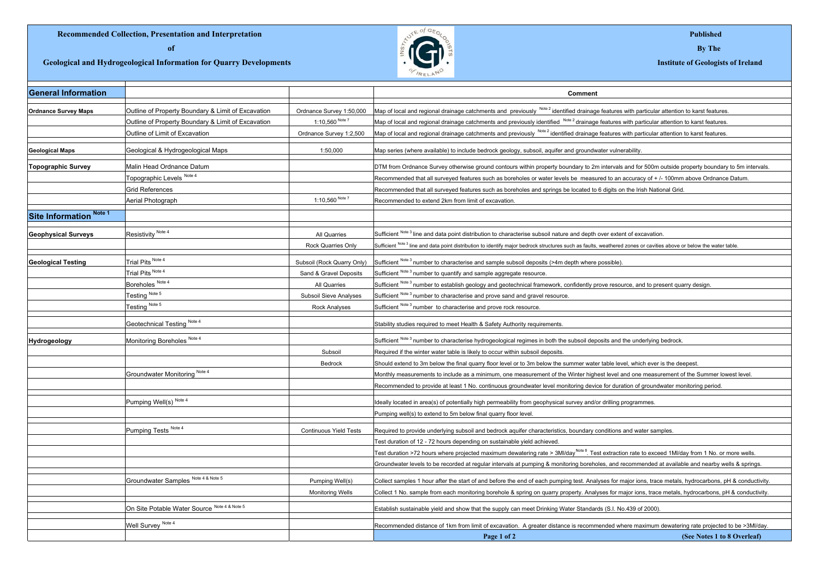## **Recommended Collection, Presentation and Interpretation Records and Interpretation Published**

**Geological and Hydrogeological Information for Quarry Developments Institute of Geologists of Ireland** 



| <b>General Information</b>  |                                                    |                               | Comment                                                                                                                                                             |
|-----------------------------|----------------------------------------------------|-------------------------------|---------------------------------------------------------------------------------------------------------------------------------------------------------------------|
| <b>Ordnance Survey Maps</b> | Outline of Property Boundary & Limit of Excavation | Ordnance Survey 1:50,000      | Map of local and regional drainage catchments and previously Note 2 identified drainage features with particular attention to karst features.                       |
|                             | Outline of Property Boundary & Limit of Excavation | 1:10.560 Note 7               | Map of local and regional drainage catchments and previously identified Note 2 drainage features with particular attention to karst features.                       |
|                             | Outline of Limit of Excavation                     | Ordnance Survey 1:2,500       | Map of local and regional drainage catchments and previously Note 2 identified drainage features with particular attention to karst features.                       |
| <b>Geological Maps</b>      | Geological & Hydrogeological Maps                  | 1:50,000                      | Map series (where available) to include bedrock geology, subsoil, aquifer and groundwater vulnerability.                                                            |
| <b>Topographic Survey</b>   | Malin Head Ordnance Datum                          |                               | DTM from Ordnance Survey otherwise ground contours within property boundary to 2m intervals and for 500m outside property boundary to 5m intervals.                 |
|                             | Topographic Levels Note 4                          |                               | Recommended that all surveyed features such as boreholes or water levels be measured to an accuracy of + /- 100mm above Ordnance Datum.                             |
|                             | Grid References                                    |                               | Recommended that all surveyed features such as boreholes and springs be located to 6 digits on the Irish National Grid.                                             |
|                             | Aerial Photograph                                  | 1:10,560 Note 7               | Recommended to extend 2km from limit of excavation.                                                                                                                 |
| Site Information Note 1     |                                                    |                               |                                                                                                                                                                     |
| <b>Geophysical Surveys</b>  | Resistivity Note 4                                 | All Quarries                  | Sufficient Note 3 line and data point distribution to characterise subsoil nature and depth over extent of excavation.                                              |
|                             |                                                    | Rock Quarries Only            | Sufficient Note 3 line and data point distribution to identify major bedrock structures such as faults, weathered zones or cavities above or below the water table. |
| <b>Geological Testing</b>   | Trial Pits Note 4                                  | Subsoil (Rock Quarry Only)    | Sufficient Note 3 number to characterise and sample subsoil deposits (>4m depth where possible).                                                                    |
|                             | Trial Pits Note 4                                  | Sand & Gravel Deposits        | Sufficient Note 3 number to quantify and sample aggregate resource.                                                                                                 |
|                             | Boreholes <sup>Note 4</sup>                        | All Quarries                  | Sufficient Note 3 number to establish geology and geotechnical framework, confidently prove resource, and to present quarry design.                                 |
|                             | Testing Note 5                                     | Subsoil Sieve Analyses        | Sufficient Note 3 number to characterise and prove sand and gravel resource.                                                                                        |
|                             | Testing Note 5                                     | Rock Analyses                 | Sufficient Note 3 number to characterise and prove rock resource.                                                                                                   |
|                             | Geotechnical Testing Note 4                        |                               | Stability studies required to meet Health & Safety Authority requirements.                                                                                          |
| Hydrogeology                | Monitoring Boreholes Note 4                        |                               | Sufficient Note 3 number to characterise hydrogeological regimes in both the subsoil deposits and the underlying bedrock.                                           |
|                             |                                                    | Subsoil                       | Required if the winter water table is likely to occur within subsoil deposits.                                                                                      |
|                             |                                                    | Bedrock                       | Should extend to 3m below the final quarry floor level or to 3m below the summer water table level, which ever is the deepest.                                      |
|                             | Groundwater Monitoring Note 4                      |                               | Monthly measurements to include as a minimum, one measurement of the Winter highest level and one measurement of the Summer lowest level.                           |
|                             |                                                    |                               | Recommended to provide at least 1 No. continuous groundwater level monitoring device for duration of groundwater monitoring period.                                 |
|                             | Pumping Well(s) Note 4                             |                               | Ideally located in area(s) of potentially high permeability from geophysical survey and/or drilling programmes.                                                     |
|                             |                                                    |                               | Pumping well(s) to extend to 5m below final quarry floor level.                                                                                                     |
|                             | Pumping Tests Note 4                               | <b>Continuous Yield Tests</b> | Required to provide underlying subsoil and bedrock aquifer characteristics, boundary conditions and water samples.                                                  |
|                             |                                                    |                               | Test duration of 12 - 72 hours depending on sustainable yield achieved.                                                                                             |
|                             |                                                    |                               | Test duration >72 hours where projected maximum dewatering rate > 3MI/day <sup>Note 8</sup> . Test extraction rate to exceed 1MI/day from 1 No. or more wells.      |
|                             |                                                    |                               | Groundwater levels to be recorded at regular intervals at pumping & monitoring boreholes, and recommended at available and nearby wells & springs.                  |
|                             | Groundwater Samples Note 4 & Note 5                | Pumping Well(s)               | Collect samples 1 hour after the start of and before the end of each pumping test. Analyses for major ions, trace metals, hydrocarbons, pH & conductivity.          |
|                             |                                                    | <b>Monitoring Wells</b>       | Collect 1 No. sample from each monitoring borehole & spring on quarry property. Analyses for major ions, trace metals, hydrocarbons, pH & conductivity.             |
|                             | On Site Potable Water Source Note 4 & Note 5       |                               | Establish sustainable yield and show that the supply can meet Drinking Water Standards (S.I. No.439 of 2000).                                                       |
|                             | Well Survey Note 4                                 |                               | Recommended distance of 1km from limit of excavation. A greater distance is recommended where maximum dewatering rate projected to be >3MI/day.                     |
|                             |                                                    |                               | Page 1 of 2<br>(See Notes 1 to 8 Overleaf)                                                                                                                          |